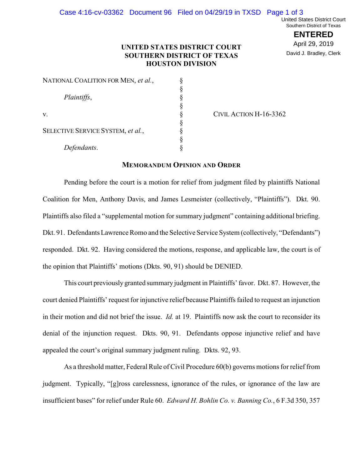**ENTERED** April 29, 2019 David J. Bradley, Clerk

## **UNITED STATES DISTRICT COURT SOUTHERN DISTRICT OF TEXAS HOUSTON DIVISION**

| Plaintiffs,<br>v.<br>SELECTIVE SERVICE SYSTEM, et al.,<br>Defendants. | NATIONAL COALITION FOR MEN, et al., |  |
|-----------------------------------------------------------------------|-------------------------------------|--|
|                                                                       |                                     |  |
|                                                                       |                                     |  |
|                                                                       |                                     |  |
|                                                                       |                                     |  |
|                                                                       |                                     |  |
|                                                                       |                                     |  |
|                                                                       |                                     |  |
|                                                                       |                                     |  |

CIVIL ACTION H-16-3362

## **MEMORANDUM OPINION AND ORDER**

Pending before the court is a motion for relief from judgment filed by plaintiffs National Coalition for Men, Anthony Davis, and James Lesmeister (collectively, "Plaintiffs"). Dkt. 90. Plaintiffs also filed a "supplemental motion for summary judgment" containing additional briefing. Dkt. 91. Defendants Lawrence Romo and the Selective Service System (collectively, "Defendants") responded. Dkt. 92. Having considered the motions, response, and applicable law, the court is of the opinion that Plaintiffs' motions (Dkts. 90, 91) should be DENIED.

This court previously granted summary judgment in Plaintiffs' favor. Dkt. 87. However, the court denied Plaintiffs' request for injunctive relief because Plaintiffs failed to request an injunction in their motion and did not brief the issue. *Id.* at 19. Plaintiffs now ask the court to reconsider its denial of the injunction request. Dkts. 90, 91. Defendants oppose injunctive relief and have appealed the court's original summary judgment ruling. Dkts. 92, 93.

As a threshold matter, Federal Rule of Civil Procedure 60(b) governs motions for relief from judgment. Typically, "[g]ross carelessness, ignorance of the rules, or ignorance of the law are insufficient bases" for relief under Rule 60. *Edward H. Bohlin Co. v. Banning Co.*, 6 F.3d 350, 357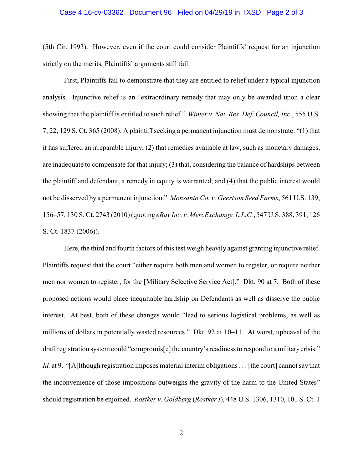## Case 4:16-cv-03362 Document 96 Filed on 04/29/19 in TXSD Page 2 of 3

(5th Cir. 1993). However, even if the court could consider Plaintiffs' request for an injunction strictly on the merits, Plaintiffs' arguments still fail.

First, Plaintiffs fail to demonstrate that they are entitled to relief under a typical injunction analysis. Injunctive relief is an "extraordinary remedy that may only be awarded upon a clear showing that the plaintiff is entitled to such relief." *Winter v. Nat, Res. Def. Council, Inc.*, 555 U.S. 7, 22, 129 S. Ct. 365 (2008). A plaintiff seeking a permanent injunction must demonstrate: "(1) that it has suffered an irreparable injury; (2) that remedies available at law, such as monetary damages, are inadequate to compensate for that injury; (3) that, considering the balance of hardships between the plaintiff and defendant, a remedy in equity is warranted; and (4) that the public interest would not be disserved by a permanent injunction." *Monsanto Co. v. Geertson Seed Farms*, 561 U.S. 139, 156–57, 130 S. Ct. 2743 (2010) (quoting *eBay Inc. v. MercExchange, L.L.C.*, 547 U.S. 388, 391, 126 S. Ct. 1837 (2006)).

Here, the third and fourth factors of this test weigh heavily against granting injunctive relief. Plaintiffs request that the court "either require both men and women to register, or require neither men nor women to register, for the [Military Selective Service Act]." Dkt. 90 at 7. Both of these proposed actions would place inequitable hardship on Defendants as well as disserve the public interest. At best, both of these changes would "lead to serious logistical problems, as well as millions of dollars in potentially wasted resources." Dkt. 92 at 10–11. At worst, upheaval of the draft registration system could "compromis[e] the country's readiness to respond to a military crisis." *Id.* at 9. "[A]lthough registration imposes material interim obligations . . . [the court] cannot say that the inconvenience of those impositions outweighs the gravity of the harm to the United States" should registration be enjoined. *Rostker v. Goldberg* (*Rostker I*), 448 U.S. 1306, 1310, 101 S. Ct. 1